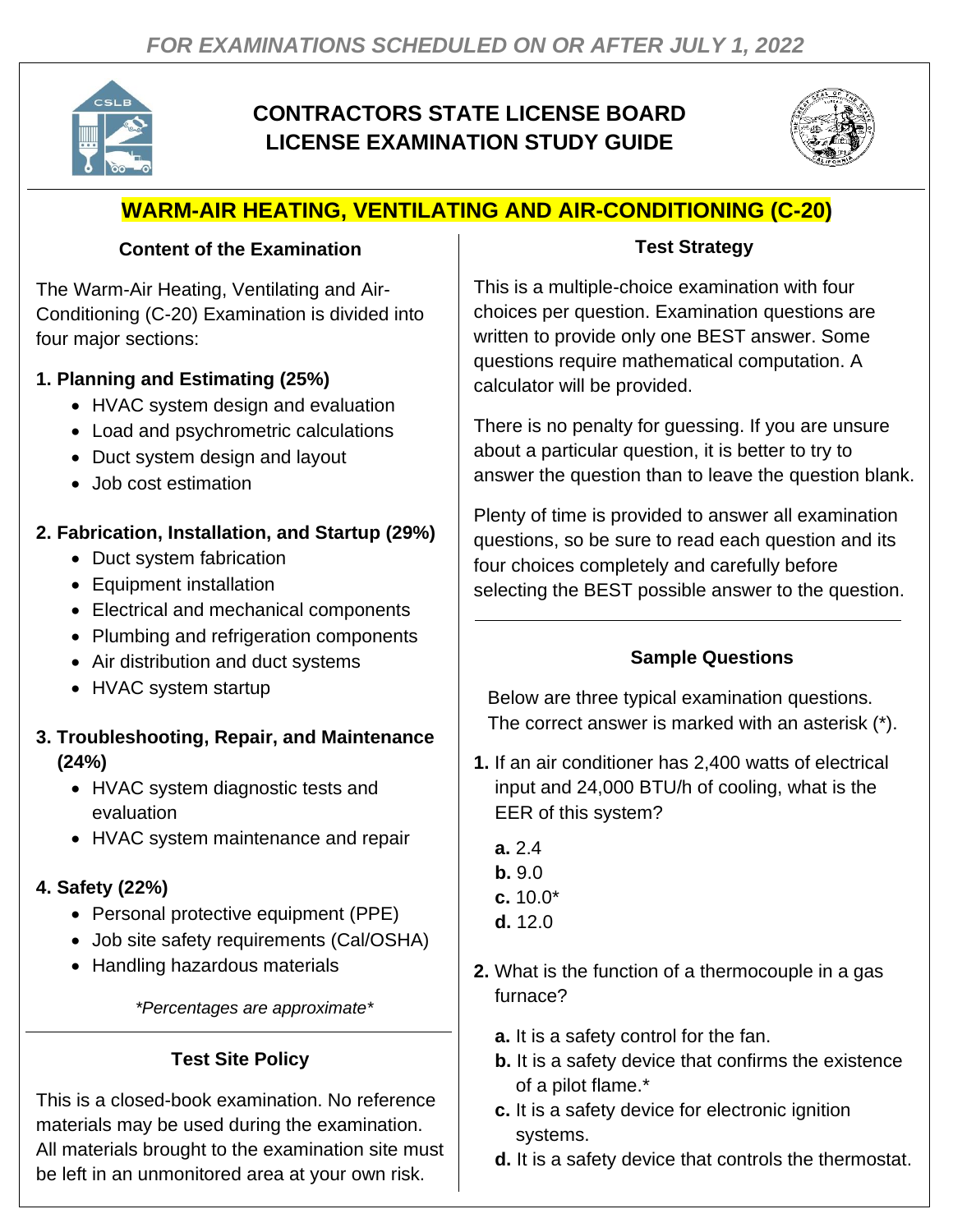

# **CONTRACTORS STATE LICENSE BOARD LICENSE EXAMINATION STUDY GUIDE**



# **WARM-AIR HEATING, VENTILATING AND AIR-CONDITIONING (C-20)**

#### **Content of the Examination**

The Warm-Air Heating, Ventilating and Air-Conditioning (C-20) Examination is divided into four major sections:

## **1. Planning and Estimating (25%)**

- HVAC system design and evaluation
- Load and psychrometric calculations
- Duct system design and layout
- Job cost estimation

## **2. Fabrication, Installation, and Startup (29%)**

- Duct system fabrication
- Equipment installation
- Electrical and mechanical components
- Plumbing and refrigeration components
- Air distribution and duct systems
- HVAC system startup

### **3. Troubleshooting, Repair, and Maintenance (24%)**

- HVAC system diagnostic tests and evaluation
- HVAC system maintenance and repair

## **4. Safety (22%)**

- Personal protective equipment (PPE)
- Job site safety requirements (Cal/OSHA)
- Handling hazardous materials

*\*Percentages are approximate\**

## **Test Site Policy**

This is a closed-book examination. No reference materials may be used during the examination. All materials brought to the examination site must be left in an unmonitored area at your own risk.

## **Test Strategy**

This is a multiple-choice examination with four choices per question. Examination questions are written to provide only one BEST answer. Some questions require mathematical computation. A calculator will be provided.

There is no penalty for guessing. If you are unsure about a particular question, it is better to try to answer the question than to leave the question blank.

Plenty of time is provided to answer all examination questions, so be sure to read each question and its four choices completely and carefully before selecting the BEST possible answer to the question.

## **Sample Questions**

Below are three typical examination questions. The correct answer is marked with an asterisk (\*).

- **1.** If an air conditioner has 2,400 watts of electrical input and 24,000 BTU/h of cooling, what is the EER of this system?
	- **a.** 2.4
	- **b.** 9.0
	- **c.** 10.0\*
	- **d.** 12.0
- **2.** What is the function of a thermocouple in a gas furnace?
	- **a.** It is a safety control for the fan.
	- **b.** It is a safety device that confirms the existence of a pilot flame.\*
	- **c.** It is a safety device for electronic ignition systems.
	- **d.** It is a safety device that controls the thermostat.